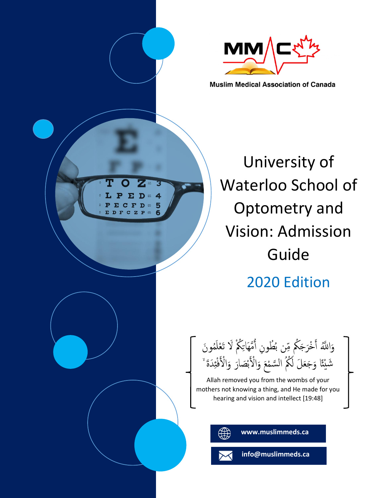

**Muslim Medical Association of Canada** 

University of Waterloo School of Optometry and Vision: Admission Guide 2020 Edition

وَاللَّهُ أَخْرَجَكُم مِّن بُطُونِ أُمَّهَاتِكُمْ لَا تَعْلَمُونَ َ م<br>أ و<br>ڊ أَمْ ة <sup>ب</sup>ر<br>گ شَيْئًا وَجَعَلَ لَكُمُ السَّمْعَ وَالْأَبْصَارَ وَالْأَفْئِدَةَ ْ ة<br>ب تح<br>ا ة أَ ءِ<br>م بم<br>ا<br>ا ة

Allah removed you from the wombs of your mothers not knowing a thing, and He made for you hearing and vision and intellect [19:48]

L

PE

 $\overline{4}$ 

5

 **www.muslimmeds.ca**

 **info@muslimmeds.ca**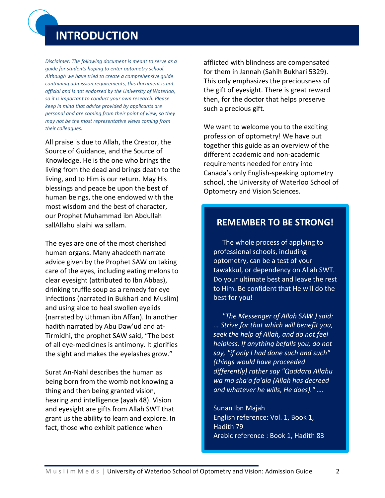# **INTRODUCTION**

*Disclaimer: The following document is meant to serve as a guide for students hoping to enter optometry school. Although we have tried to create a comprehensive guide containing admission requirements, this document is not official and is not endorsed by the University of Waterloo, so it is important to conduct your own research. Please keep in mind that advice provided by applicants are personal and are coming from their point of view, so they may not be the most representative views coming from their colleagues.*

All praise is due to Allah, the Creator, the Source of Guidance, and the Source of Knowledge. He is the one who brings the living from the dead and brings death to the living, and to Him is our return. May His blessings and peace be upon the best of human beings, the one endowed with the most wisdom and the best of character, our Prophet Muhammad ibn Abdullah sallAllahu alaihi wa sallam.

The eyes are one of the most cherished human organs. Many ahadeeth narrate advice given by the Prophet SAW on taking care of the eyes, including eating melons to clear eyesight (attributed to Ibn Abbas), drinking truffle soup as a remedy for eye infections (narrated in Bukhari and Muslim) and using aloe to heal swollen eyelids (narrated by Uthman ibn Affan). In another hadith narrated by Abu Daw'ud and at-Tirmidhi, the prophet SAW said, "The best of all eye-medicines is antimony. It glorifies the sight and makes the eyelashes grow."

Surat An-Nahl describes the human as being born from the womb not knowing a thing and then being granted vision, hearing and intelligence (ayah 48). Vision and eyesight are gifts from Allah SWT that grant us the ability to learn and explore. In fact, those who exhibit patience when

afflicted with blindness are compensated for them in Jannah (Sahih Bukhari 5329). This only emphasizes the preciousness of the gift of eyesight. There is great reward then, for the doctor that helps preserve such a precious gift.

We want to welcome you to the exciting profession of optometry! We have put together this guide as an overview of the different academic and non-academic requirements needed for entry into Canada's only English-speaking optometry school, the University of Waterloo School of Optometry and Vision Sciences.

# **REMEMBER TO BE STRONG!**

The whole process of applying to professional schools, including optometry, can be a test of your tawakkul, or dependency on Allah SWT. Do your ultimate best and leave the rest to Him. Be confident that He will do the best for you!

*"The Messenger of Allah SAW ) said: ... Strive for that which will benefit you, seek the help of Allah, and do not feel helpless. If anything befalls you, do not say, "if only I had done such and such" (things would have proceeded differently) rather say "Qaddara Allahu wa ma sha'a fa'ala (Allah has decreed and whatever he wills, He does)." ….*

Sunan Ibn Majah English reference: Vol. 1, Book 1, Hadith 79 Arabic reference : Book 1, Hadith 83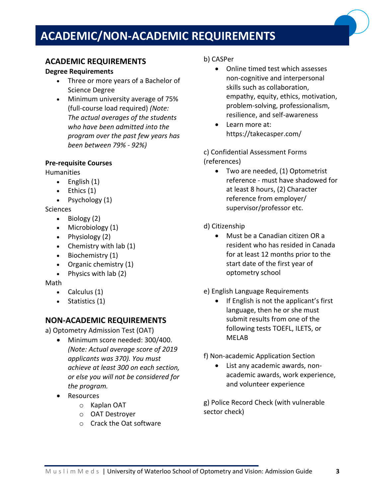# **ACADEMIC/NON-ACADEMIC REQUIREMENTS**

# **ACADEMIC REQUIREMENTS**

## **Degree Requirements**

- Three or more years of a Bachelor of Science Degree
- Minimum university average of 75% (full-course load required) *(Note: The actual averages of the students who have been admitted into the program over the past few years has been between 79% - 92%)*

## **Pre-requisite Courses**

Humanities

- English (1)
- $\bullet$  Ethics  $(1)$
- Psychology (1)

#### **Sciences**

- Biology (2)
- Microbiology (1)
- Physiology (2)
- Chemistry with lab (1)
- Biochemistry (1)
- Organic chemistry (1)
- Physics with lab (2)

#### Math

- Calculus (1)
- Statistics (1)

# **NON-ACADEMIC REQUIREMENTS**

a) Optometry Admission Test (OAT)

- Minimum score needed: 300/400. *(Note: Actual average score of 2019 applicants was 370). You must achieve at least 300 on each section, or else you will not be considered for the program.*
- Resources
	- o Kaplan OAT
	- o OAT Destroyer
	- o Crack the Oat software

## b) CASPer

- Online timed test which assesses non-cognitive and interpersonal skills such as collaboration, empathy, equity, ethics, motivation, problem-solving, professionalism, resilience, and self-awareness
- Learn more at: https://takecasper.com/

c) Confidential Assessment Forms (references)

- Two are needed, (1) Optometrist reference - must have shadowed for at least 8 hours, (2) Character reference from employer/ supervisor/professor etc.
- d) Citizenship
	- Must be a Canadian citizen OR a resident who has resided in Canada for at least 12 months prior to the start date of the first year of optometry school
- e) English Language Requirements
	- If English is not the applicant's first language, then he or she must submit results from one of the following tests TOEFL, ILETS, or MELAB

f) Non-academic Application Section

• List any academic awards, nonacademic awards, work experience, and volunteer experience

g) Police Record Check (with vulnerable sector check)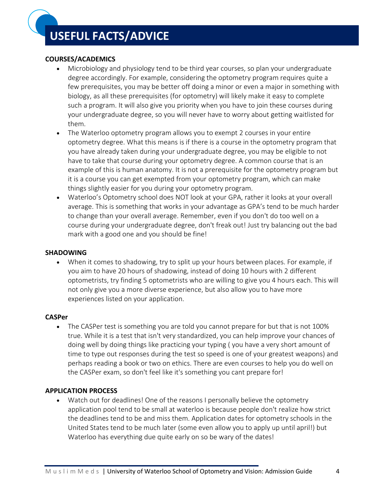# **USEFUL FACTS/ADVICE**

# **COURSES/ACADEMICS**

- Microbiology and physiology tend to be third year courses, so plan your undergraduate degree accordingly. For example, considering the optometry program requires quite a few prerequisites, you may be better off doing a minor or even a major in something with biology, as all these prerequisites (for optometry) will likely make it easy to complete such a program. It will also give you priority when you have to join these courses during your undergraduate degree, so you will never have to worry about getting waitlisted for them.
- The Waterloo optometry program allows you to exempt 2 courses in your entire optometry degree. What this means is if there is a course in the optometry program that you have already taken during your undergraduate degree, you may be eligible to not have to take that course during your optometry degree. A common course that is an example of this is human anatomy. It is not a prerequisite for the optometry program but it is a course you can get exempted from your optometry program, which can make things slightly easier for you during your optometry program.
- Waterloo's Optometry school does NOT look at your GPA, rather it looks at your overall average. This is something that works in your advantage as GPA's tend to be much harder to change than your overall average. Remember, even if you don't do too well on a course during your undergraduate degree, don't freak out! Just try balancing out the bad mark with a good one and you should be fine!

# **SHADOWING**

• When it comes to shadowing, try to split up your hours between places. For example, if you aim to have 20 hours of shadowing, instead of doing 10 hours with 2 different optometrists, try finding 5 optometrists who are willing to give you 4 hours each. This will not only give you a more diverse experience, but also allow you to have more experiences listed on your application.

# **CASPer**

• The CASPer test is something you are told you cannot prepare for but that is not 100% true. While it is a test that isn't very standardized, you can help improve your chances of doing well by doing things like practicing your typing ( you have a very short amount of time to type out responses during the test so speed is one of your greatest weapons) and perhaps reading a book or two on ethics. There are even courses to help you do well on the CASPer exam, so don't feel like it's something you cant prepare for!

# **APPLICATION PROCESS**

• Watch out for deadlines! One of the reasons I personally believe the optometry application pool tend to be small at waterloo is because people don't realize how strict the deadlines tend to be and miss them. Application dates for optometry schools in the United States tend to be much later (some even allow you to apply up until april!) but Waterloo has everything due quite early on so be wary of the dates!